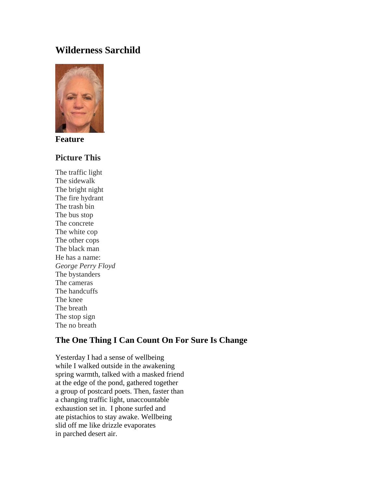# **Wilderness Sarchild**



**Feature**

### **Picture This**

The traffic light The sidewalk The bright night The fire hydrant The trash bin The bus stop The concrete The white cop The other cops The black man He has a name: *George Perry Floyd* The bystanders The cameras The handcuffs The knee The breath The stop sign The no breath

## **The One Thing I Can Count On For Sure Is Change**

Yesterday I had a sense of wellbeing while I walked outside in the awakening spring warmth, talked with a masked friend at the edge of the pond, gathered together a group of postcard poets. Then, faster than a changing traffic light, unaccountable exhaustion set in. I phone surfed and ate pistachios to stay awake. Wellbeing slid off me like drizzle evaporates in parched desert air.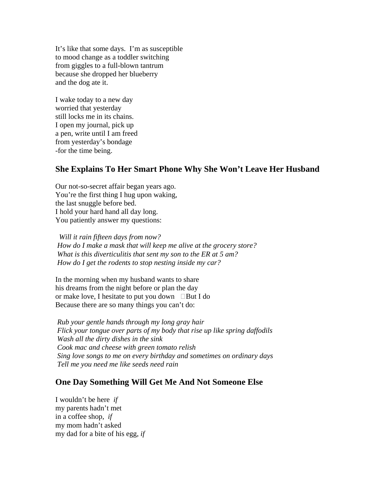It's like that some days. I'm as susceptible to mood change as a toddler switching from giggles to a full-blown tantrum because she dropped her blueberry and the dog ate it.

I wake today to a new day worried that yesterday still locks me in its chains. I open my journal, pick up a pen, write until I am freed from yesterday's bondage -for the time being.

#### **She Explains To Her Smart Phone Why She Won't Leave Her Husband**

Our not-so-secret affair began years ago. You're the first thing I hug upon waking, the last snuggle before bed. I hold your hard hand all day long. You patiently answer my questions:

*Will it rain fifteen days from now? How do I make a mask that will keep me alive at the grocery store? What is this diverticulitis that sent my son to the ER at 5 am? How do I get the rodents to stop nesting inside my car?*

In the morning when my husband wants to share his dreams from the night before or plan the day or make love, I hesitate to put you down  $\Box$ But I do Because there are so many things you can't do:

*Rub your gentle hands through my long gray hair Flick your tongue over parts of my body that rise up like spring daffodils Wash all the dirty dishes in the sink Cook mac and cheese with green tomato relish Sing love songs to me on every birthday and sometimes on ordinary days Tell me you need me like seeds need rain*

### **One Day Something Will Get Me And Not Someone Else**

I wouldn't be here *if* my parents hadn't met in a coffee shop, *if* my mom hadn't asked my dad for a bite of his egg, *if*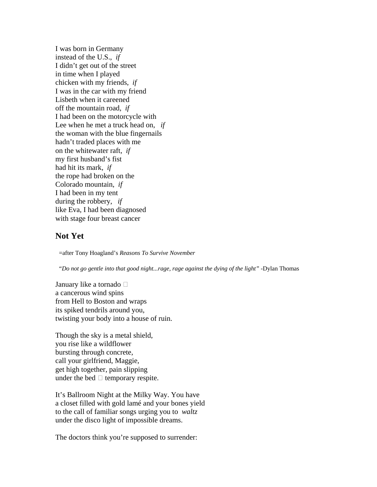I was born in Germany instead of the U.S., *if* I didn't get out of the street in time when I played chicken with my friends, *if* I was in the car with my friend Lisbeth when it careened off the mountain road, *if* I had been on the motorcycle with Lee when he met a truck head on, *if* the woman with the blue fingernails hadn't traded places with me on the whitewater raft, *if* my first husband's fist had hit its mark, *if* the rope had broken on the Colorado mountain, *if* I had been in my tent during the robbery, *if* like Eva, I had been diagnosed with stage four breast cancer

#### **Not Yet**

=after Tony Hoagland's *Reasons To Survive November*

*"Do not go gentle into that good night...rage, rage against the dying of the light"* -Dylan Thomas

January like a tornado  $\square$ a cancerous wind spins from Hell to Boston and wraps its spiked tendrils around you, twisting your body into a house of ruin.

Though the sky is a metal shield, you rise like a wildflower bursting through concrete, call your girlfriend, Maggie, get high together, pain slipping under the bed  $\Box$  temporary respite.

It's Ballroom Night at the Milky Way. You have a closet filled with gold lamé and your bones yield to the call of familiar songs urging you to *waltz* under the disco light of impossible dreams.

The doctors think you're supposed to surrender: